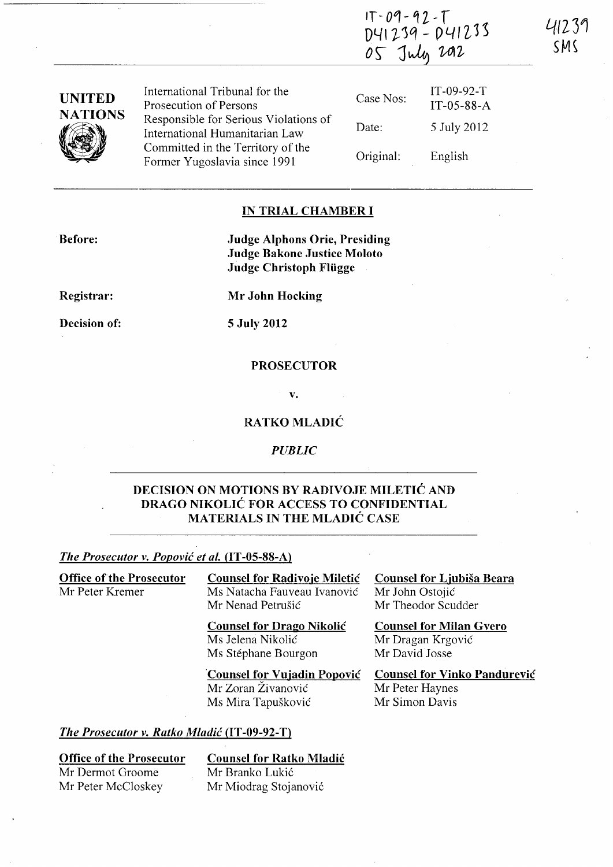| IT-09-92-T<br>D41239 - D41233 |  |
|-------------------------------|--|
| 05 July 2012                  |  |

| <b>UNITED</b><br><b>NATIONS</b> | International Tribunal for the<br>Prosecution of Persons                | Case Nos: | $IT-09-92-T$<br>IT-05-88-A |
|---------------------------------|-------------------------------------------------------------------------|-----------|----------------------------|
|                                 | Responsible for Serious Violations of<br>International Humanitarian Law | Date:     | 5 July 2012                |
|                                 | Committed in the Territory of the<br>Former Yugoslavia since 1991       | Original: | English                    |

## **IN TRIAL CHAMBER I**

**Before:** 

**Judge Alphons Orie, Presiding Judge Bakone Justice Moloto Judge Christoph Fliigge** 

**Registrar:** 

**Decision of:** 

**S July 2012** 

**Mr John Hocking** 

## **PROSECUTOR**

**v.** 

## **RATKO MLADIC**

*PUBLIC* 

## **DECISION ON MOTIONS BY RADIVOJE MILETIC AND DRAGO NIKOLIC FOR ACCESS TO CONFIDENTIAL MATERIALS IN THE MLADIC CASE**

## *The Prosecutor v. Popovic et al.* **(IT -OS-88-A)**

| <b>Office of the Prosecutor</b> | <b>Counsel for Radivoje Miletić</b> | Counsel for Ljubiša Beara           |
|---------------------------------|-------------------------------------|-------------------------------------|
| Mr Peter Kremer                 | Ms Natacha Fauveau Ivanović         | Mr John Ostojić                     |
|                                 | Mr Nenad Petrušić                   | Mr Theodor Scudder                  |
|                                 | <b>Counsel for Drago Nikolić</b>    | <b>Counsel for Milan Gvero</b>      |
|                                 | Ms Jelena Nikolić                   | Mr Dragan Krgović                   |
|                                 | Ms Stéphane Bourgon                 | Mr David Josse                      |
|                                 | <b>Counsel for Vujadin Popović</b>  | <b>Counsel for Vinko Pandurević</b> |
|                                 | Mr Zoran Živanović                  | Mr Peter Haynes                     |
|                                 | Ms Mira Tapušković                  | Mr Simon Davis                      |
|                                 |                                     |                                     |

#### *The Prosecutor v. Ratko Mladic* **(IT -09-92-T)**

**Office of the Prosecutor**  Mr Dermot Groome Mr Peter McCloskey

**Counsel for Ratko Mladic**  Mr Branko Lukić

Mr Miodrag Stojanović

**4(231**  SM~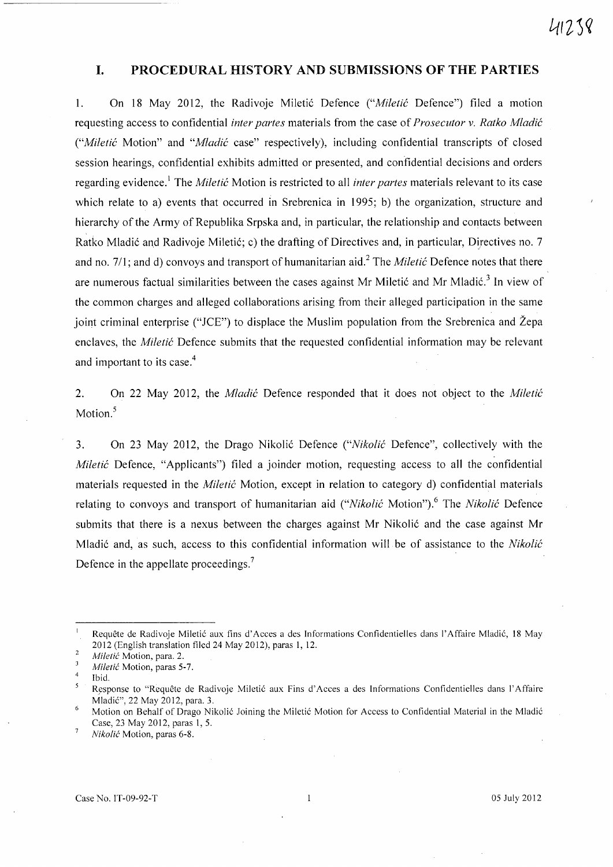## **I. PROCEDURAL HISTORY AND SUBMISSIONS OF THE PARTIES**

1. On 18 May 2012, the Radivoje Miletić Defence *("Miletić Defence")* filed a motion requesting access to confidential *inter partes* materials from the case of *Prosecutor* v. *Ratko Mladic ("Mile tic* Motion" and *"Mladic* case" respectively), including confidential transcripts of closed session hearings, confidential exhibits admitted or presented, and confidential decisions and orders regarding evidence.! The *Miletic* Motion is restricted to all *inter partes* materials relevant to its case which relate to a) events that occurred in Srebrenica in 1995; b) the organization, structure and hierarchy of the Army of Republika Srpska and, in particular, the relationship and contacts between Ratko Mladić and Radivoje Miletić; c) the drafting of Directives and, in particular, Directives no. 7 and no. 7/1; and d) convoys and transport of humanitarian aid.<sup>2</sup> The *Miletic* Defence notes that there are numerous factual similarities between the cases against Mr Miletić and Mr Mladić.<sup>3</sup> In view of the common charges and alleged collaborations arising from their alleged participation in the same joint criminal enterprise ("JCE") to displace the Muslim population from the Srebrenica and Žepa enclaves, the *Miletic* Defence submits that the requested confidential information may be relevant and important to its case. 4

2. On 22 May 2012, the *Mladic* Defence responded that it does not object to the *Miletic*  Motion.<sup>5</sup>

3. On 23 May 2012, the Drago Nikoli6 Defence *("Nikolic* Defence", collectively with the *Miletić* Defence, "Applicants") filed a joinder motion, requesting access to all the confidential materials requested in the *Miletic* Motion, except in relation to category d) confidential materials relating to convoys and transport of humanitarian aid *("Nikolić Motion"*).<sup>6</sup> The *Nikolić Defence* submits that there is a nexus between the charges against Mr Nikolić and the case against Mr Mladi6 and, as such, access to this confidential information will be of assistance to the *Nikolic*  Defence in the appellate proceedings.<sup>7</sup>

Requête de Radivoje Miletić aux fins d'Acces a des Informations Confidentielles dans l'Affaire Mladić, 18 May 2012 (English translation filed 24 May 2012), paras 1, 12.

 $\overline{2}$ *Miletic* Motion, para. 2.

 $\overline{\mathbf{3}}$ *Miletic* Motion, paras 5-7.

 $\overline{4}$ Ibid.

 $\overline{\mathbf{5}}$ Response to "Requête de Radivoje Miletić aux Fins d'Acces a des Informations Confidentielles dans l'Affaire Mladi6", 22 May 2012, para. 3.

Motion on Behalf of Drago Nikolić Joining the Miletić Motion for Access to Confidential Material in the Mladić Case, 23 May 2012, paras 1, 5.  $\overline{7}$ 

*Niko!ic* Motion, paras 6-8.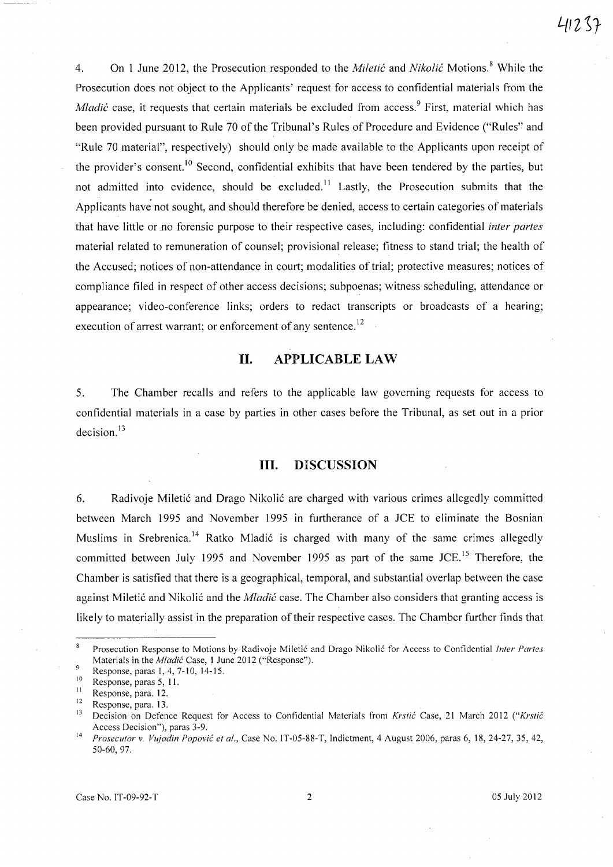4. On 1 June 2012, the Prosecution responded to the *Miletic* and *Nikolic* Motions. 8 While the Prosecution does not object to the Applicants' request for access to confidential materials from the *Mladić* case, it requests that certain materials be excluded from access.<sup>9</sup> First, material which has been provided pursuant to Rule 70 of the Tribunal's Rules of Procedure and Evidence ("Rules': and "Rule 70 material", respectively) should only be made available to the Applicants upon receipt of the provider's consent.<sup>10</sup> Second, confidential exhibits that have been tendered by the parties, but not admitted into evidence, should be excluded.<sup>11</sup> Lastly, the Prosecution submits that the Applicants have not sought, and should therefore be denied, access to certain categories of materials that have little or no forensic purpose to their respective cases, including: confidential *inter partes*  material related to remuneration of counsel; provisional release; fitness to stand trial; the health of the Accused; notices of non-attendance in court; modalities of trial; protective measures; notices of compliance filed in respect of other access decisions; subpoenas; witness scheduling, attendance or appearance; video-conference links; orders to redact transcripts or broadcasts of a hearing; execution of arrest warrant; or enforcement of any sentence.<sup>12</sup>

# **11. APPLICABLE LAW**

5. The Chamber recalls and refers to the applicable law governing requests for access to confidential materials in a case by parties in other cases before the Tribunal, as set out in a prior decision. $13$ 

#### **Ill. DISCUSSION**

6. Radivoje Miletić and Drago Nikolić are charged with various crimes allegedly committed between March 1995 and November 1995 in furtherance of a JCE to eliminate the Bosnian Muslims in Srebrenica.<sup>14</sup> Ratko Mladić is charged with many of the same crimes allegedly committed between July 1995 and November 1995 as part of the same JCE.<sup>15</sup> Therefore, the Chamber is satisfied that there is a geographical, temporal, and substantial overlap between the case against Miletić and Nikolić and the *Mladić* case. The Chamber also considers that granting access is likely to materially assist in the preparation of their respective cases. The Chamber further finds that

 $\bf 8$ Prosecution Response to Motions by Radivoje Miletić and Drago Nikolić for Access to Confidential *Inter Partes* Materials in the *Mladic* Case, 1 June 2012 ("Response").

 $\overline{9}$ Response, paras 1, 4, 7-10, 14-15.

 $\frac{10}{11}$  Response, paras 5, 11.

 $\frac{11}{12}$  Response, para. 12.

 $\frac{12}{13}$  Response, para. 13.

<sup>13</sup> Decision on Defence Request for Access to Confidential Materials from *Krstic* Case, 21 March 2012 *("Krstic*  Access Decision"), paras 3-9.

<sup>14</sup>*Prosecutor* v. *Vujadin Popovic et al.,* Case No. IT-05-88-T, Indictment, 4 August 2006, paras 6, 18,24-27,35,42, 50-60,97.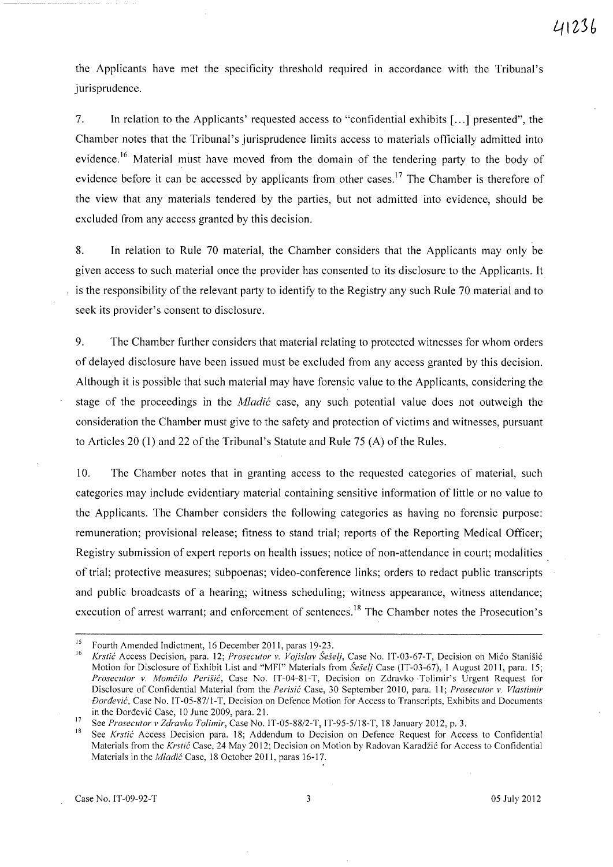the Applicants have met the specificity threshold required In accordance with the Tribunal's jurisprudence.

7. **In** relation to the Applicants' requested access to "confidential exhibits [ ... ] presented", the Chamber notes that the Tribunal's jurisprudence limits access to materials officially admitted into evidence.<sup>16</sup> Material must have moved from the domain of the tendering party to the body of evidence before it can be accessed by applicants from other cases.<sup>17</sup> The Chamber is therefore of the view that any materials tendered by the parties, but not admitted into evidence, should be excluded from any access granted by this decision.

8. **In** relation to Rule 70 material, the Chamber considers that the Applicants may only be given access to such material once the provider has consented to its disclosure to the Applicants. It is the responsibility of the relevant party to identify to the Registry any such Rule 70 material and to seek its provider's consent to disclosure.

9. The Chamber further considers that material relating to protected witnesses for whom orders of delayed disclosure have been issued must be excluded from any access granted by this decision. Although it is possible that such material may have forensic value to the Applicants, considering the stage of the proceedings in the *Mladic* case, any such potential value does not outweigh the consideration the Chamber must give to the safety and protection of victims and witnesses, pursuant to Articles 20 (1) and 22 of the Tribunal's Statute and Rule 75 (A) of the Rules.

10. The Chamber notes that in granting access to the requested categories of material, such categories may include evidentiary material containing sensitive information of little or no value to the Applicants. The Chamber considers the following categories as having no forensic purpose: remuneration; provisional release; fitness to stand trial; reports of the Reporting Medical Officer; Registry submission of expert reports on health issues; notice of non-attendance in court; modalities of trial; protective measures; subpoenas; video-conference links; orders to redact public transcripts and public broadcasts of a hearing; witness scheduling; witness appearance, witness attendance; execution of arrest warrant; and enforcement of sentences.<sup>18</sup> The Chamber notes the Prosecution's

<sup>&</sup>lt;sup>15</sup> Fourth Amended Indictment, 16 December 2011, paras 19-23.

<sup>16</sup>*Krstic* Access Decision, para. 12; *Prosecutor* v. *Vojislav Seselj,* Case No. IT-03-67-T, Decision on Mico Stanisic Motion for Disclosure of Exhibit List and "MFI" Materials from *Šešelj* Case (IT-03-67), 1 August 2011, para. 15; *Prosecutor* v. *Momcilo Perisic,* Case No. IT-04-81-T, Decision on Zdravko ·Tolimir's Urgent Request for Disclosure of Confidential Material from the *Perisic* Case, 30 September 2010, para. 11; *Prosecutor* v. *Vlastimir Doraevic,* Case No. IT-05-8711-T, Decision on Defence Motion for Access to Transcripts, Exhibits and Documents in the Dordevic Case, 10 June 2009, para. 21.

<sup>17</sup> See *Prosecutor* v *Zdravko Tolimir,* Case No. IT *-05-88/2-*T, IT -95-5/18-T, 18 January 2012, p. 3.

<sup>18</sup>See *Krstic* Access Decision para. 18; Addendum to Decision on Defence Request for Access to Confidential Materials from the *Krstic* Case, 24 May 2012; Decision on Motion by Radovan Karadzic for Access to Confidential Materials in the *Mladjc* Case, 18 October 201 I, paras 16-17.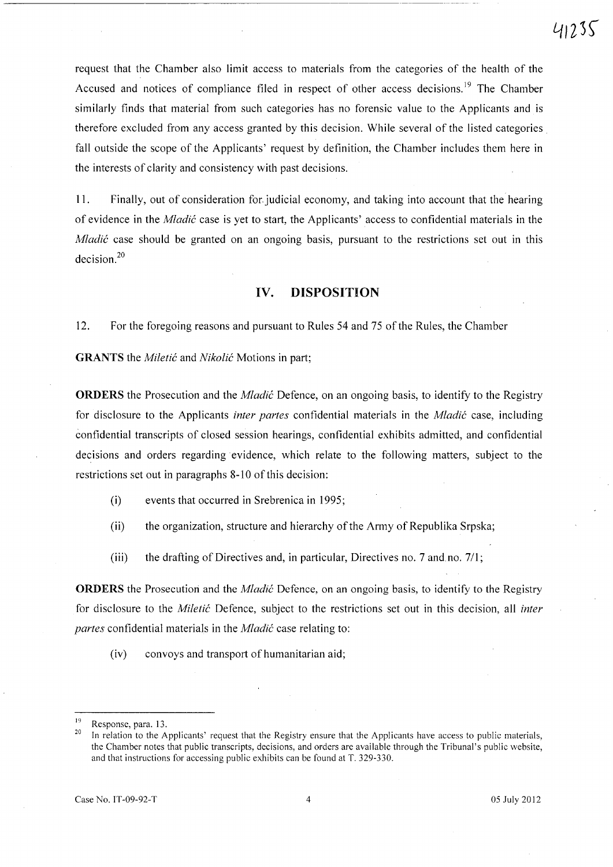request that the Chamber also limit access to materials from the categories of the health of the Accused and notices of compliance filed in respect of other access decisions.<sup>19</sup> The Chamber similarly finds that material from such categories has no forensic value to the Applicants and is therefore excluded from any access granted by this decision. While several of the listed categories fall outside the scope of the Applicants' request by definition, the Chamber includes them here in the interests of clarity and consistency with past decisions.

11. Finally, out of consideration for. judicial economy, and taking into account that the hearing of evidence in the *Mladic* case is yet to start, the Applicants' access to confidential materials in the *Mladić* case should be granted on an ongoing basis, pursuant to the restrictions set out in this decision.<sup>20</sup>

### **IV. DISPOSITION**

12. For the foregoing reasons and pursuant to Rules 54 and 75 of the Rules, the Chamber

**GRANTS** the *Miletic* and *Nikolic* Motions in part;

**ORDERS** the Prosecution and the *Mladic* Defence, on an ongoing basis, to identify to the Registry for disclosure to the Applicants *inter partes* confidential materials in the *Mladic* case, including confidential transcripts of closed session hearings, confidential exhibits admitted, and confidential decisions and orders regarding evidence, which relate to the following matters, subject to the restrictions set out in paragraphs 8-10 of this decision:

- (i) events that occurred in Srebrenica in 1995;
- (ii) the organization, structure and hierarchy of the Army of Republika Srpska;
- (iii) the drafting of Directives and, in particular, Directives no. 7 and no. 711;

**ORDERS** the Prosecutiori and the *Mladic* Defence, on an ongoing basis, to identify to the Registry for disclosure to the *Miletic* Defence, subject to the restrictions set out in this decision, all *inter partes* confidential materials in the *Mladic* case relating to:

(iv) convoys and transport of humanitarian aid;

 $\frac{19}{20}$  Response, para. 13.

<sup>20</sup> In relation to the Applicants' request that the Registry ensure that the Applicants have access to public materials, the Chamber notes that public transcripts, decisions, and orders are available through the Tribunal's public website, and that instructions for accessing public exhibits can be found at T. 329-330.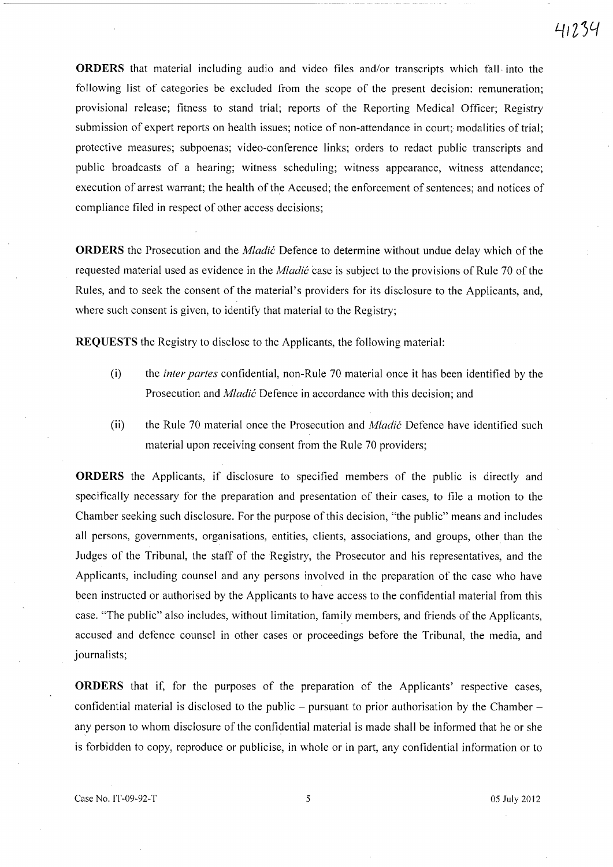41234

**ORDERS** that material including audio and video files and/or transcripts which fall· into the following list of categories be excluded from the scope of the present decision: remuneration; provisional release; fitness to stand trial; reports of the Reporting Medical Officer; Registry submission of expert reports on health issues; notice of non-attendance in court; modalities of trial; protective measures; subpoenas; video-conference links; orders to redact public transcripts and public broadcasts of a hearing; witness scheduling; witness appearance, witness attendance; execution of arrest warrant; the health of the Accused; the enforcement of sentences; and notices of compliance filed in respect of other access decisions;

**ORDERS** the Prosecution and the *Mladie* Defence to determine without undue delay which of the requested material used as evidence in the *Mladie* case is subject to the provisions of Rule 70 of the Rules, and to seek the consent of the material's providers for its disclosure to the Applicants, and, where such consent is given, to identify that material to the Registry;

**REQUESTS** the Registry to disclose to the Applicants, the following material:

- (i) the *inter partes* confidential, non-Rule 70 material once it has been identified by the Prosecution and *Mladie* Defence in accordance with this decision; and
- (ii) the Rule 70 material once the Prosecution and *Mladie* Defence have identified such material upon receiving consent from the Rule 70 providers;

**ORDERS** the Applicants, if disclosure to specified members of the public is directly and specifically necessary for the preparation and presentation of their cases, to file a motion to the Chamber seeking such disclosure. For the purpose of this decision, "the public" means and includes all persons, governments, organisations, entities, clients, associations, and groups, other than the Judges of the Tribunal, the staff of the Registry, the Prosecutor and his representatives, and the Applicants, including counsel and any persons involved in the preparation of the case who have been instructed or authorised by the Applicants to have access to the confidential material from this case. "The public" also includes, without limitation, family members, and friends of the Applicants, accused and defence counsel in other cases or proceedings before the Tribunal, the media, and journalists;

**ORDERS** that if, for the purposes of the preparation of the Applicants' respective cases, confidential material is disclosed to the public  $-$  pursuant to prior authorisation by the Chamber  $$ any person to whom disclosure of the confidential material is made shall be informed that he or she is forbidden to copy, reproduce or publicise, in whole or in part, any confidential information or to